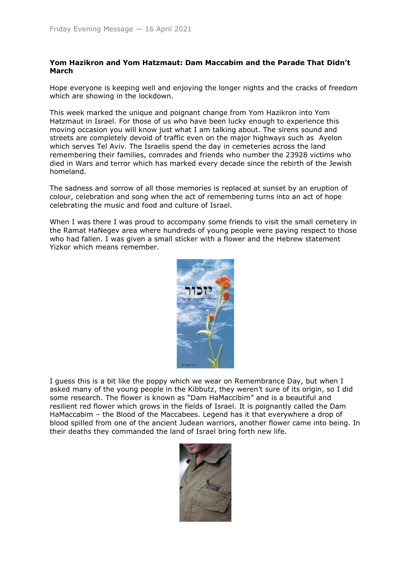## **Yom Hazikron and Yom Hatzmaut: Dam Maccabim and the Parade That Didn't March**

Hope everyone is keeping well and enjoying the longer nights and the cracks of freedom which are showing in the lockdown.

This week marked the unique and poignant change from Yom Hazikron into Yom Hatzmaut in Israel. For those of us who have been lucky enough to experience this moving occasion you will know just what I am talking about. The sirens sound and streets are completely devoid of traffic even on the major highways such as Ayelon which serves Tel Aviv. The Israelis spend the day in cemeteries across the land remembering their families, comrades and friends who number the 23928 victims who died in Wars and terror which has marked every decade since the rebirth of the Jewish homeland.

The sadness and sorrow of all those memories is replaced at sunset by an eruption of colour, celebration and song when the act of remembering turns into an act of hope celebrating the music and food and culture of Israel.

When I was there I was proud to accompany some friends to visit the small cemetery in the Ramat HaNegev area where hundreds of young people were paying respect to those who had fallen. I was given a small sticker with a flower and the Hebrew statement Yizkor which means remember.



I guess this is a bit like the poppy which we wear on Remembrance Day, but when I asked many of the young people in the Kibbutz, they weren't sure of its origin, so I did some research. The flower is known as "Dam HaMaccibim" and is a beautiful and resilient red flower which grows in the fields of Israel. It is poignantly called the Dam HaMaccabim – the Blood of the Maccabees. Legend has it that everywhere a drop of blood spilled from one of the ancient Judean warriors, another flower came into being. In their deaths they commanded the land of Israel bring forth new life.

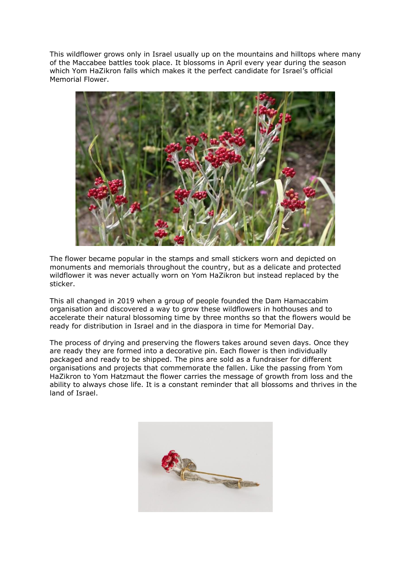This wildflower grows only in Israel usually up on the mountains and hilltops where many of the Maccabee battles took place. It blossoms in April every year during the season which Yom HaZikron falls which makes it the perfect candidate for Israel's official Memorial Flower.



The flower became popular in the stamps and small stickers worn and depicted on monuments and memorials throughout the country, but as a delicate and protected wildflower it was never actually worn on Yom HaZikron but instead replaced by the sticker.

This all changed in 2019 when a group of people founded the Dam Hamaccabim organisation and discovered a way to grow these wildflowers in hothouses and to accelerate their natural blossoming time by three months so that the flowers would be ready for distribution in Israel and in the diaspora in time for Memorial Day.

The process of drying and preserving the flowers takes around seven days. Once they are ready they are formed into a decorative pin. Each flower is then individually packaged and ready to be shipped. The pins are sold as a fundraiser for different organisations and projects that commemorate the fallen. Like the passing from Yom HaZikron to Yom Hatzmaut the flower carries the message of growth from loss and the ability to always chose life. It is a constant reminder that all blossoms and thrives in the land of Israel.

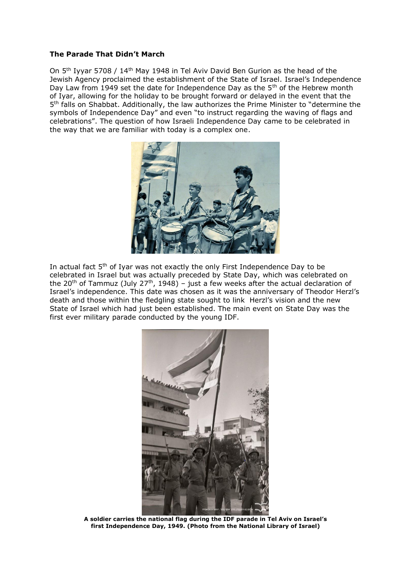## **The Parade That Didn't March**

On 5<sup>th</sup> Iyyar 5708 / 14<sup>th</sup> May 1948 in Tel Aviv David Ben Gurion as the head of the Jewish Agency proclaimed the establishment of the State of Israel. Israel's Independence Day Law from 1949 set the date for Independence Day as the 5<sup>th</sup> of the Hebrew month of Iyar, allowing for the holiday to be brought forward or delayed in the event that the 5<sup>th</sup> falls on Shabbat. Additionally, the law authorizes the Prime Minister to "determine the symbols of Independence Day" and even "to instruct regarding the waving of flags and celebrations". The question of how Israeli Independence Day came to be celebrated in the way that we are familiar with today is a complex one.



In actual fact 5<sup>th</sup> of Iyar was not exactly the only First Independence Day to be celebrated in Israel but was actually preceded by State Day, which was celebrated on the 20<sup>th</sup> of Tammuz (July 27<sup>th</sup>, 1948) – just a few weeks after the actual declaration of Israel's independence. This date was chosen as it was the anniversary of Theodor Herzl's death and those within the fledgling state sought to link Herzl's vision and the new State of Israel which had just been established. The main event on State Day was the first ever military parade conducted by the young IDF.



**A soldier carries the national flag during the IDF parade in Tel Aviv on Israel's first Independence Day, 1949. (Photo from the National Library of Israel)**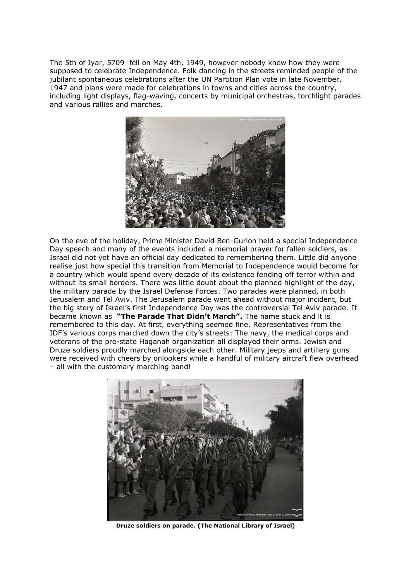The 5th of Iyar, 5709 fell on May 4th, 1949, however nobody knew how they were supposed to celebrate Independence. Folk dancing in the streets reminded people of the jubilant spontaneous celebrations after the UN Partition Plan vote in late November, 1947 and plans were made for celebrations in towns and cities across the country, including light displays, flag-waving, concerts by municipal orchestras, torchlight parades and various rallies and marches.



On the eve of the holiday, Prime Minister David Ben-Gurion held a special Independence Day speech and many of the events included a memorial prayer for fallen soldiers, as Israel did not yet have an official day dedicated to remembering them. Little did anyone realise just how special this transition from Memorial to Independence would become for a country which would spend every decade of its existence fending off terror within and without its small borders. There was little doubt about the planned highlight of the day, the military parade by the Israel Defense Forces. Two parades were planned, in both Jerusalem and Tel Aviv. The Jerusalem parade went ahead without major incident, but the big story of Israel's first Independence Day was the controversial Tel Aviv parade. It became known as **"The Parade That Didn't March".** The name stuck and it is remembered to this day. At first, everything seemed fine. Representatives from the IDF's various corps marched down the city's streets: The navy, the medical corps and veterans of the pre-state Haganah organization all displayed their arms. Jewish and Druze soldiers proudly marched alongside each other. Military jeeps and artillery guns were received with cheers by onlookers while a handful of military aircraft flew overhead – all with the customary marching band!



**Druze soldiers on parade. (The National Library of Israel)**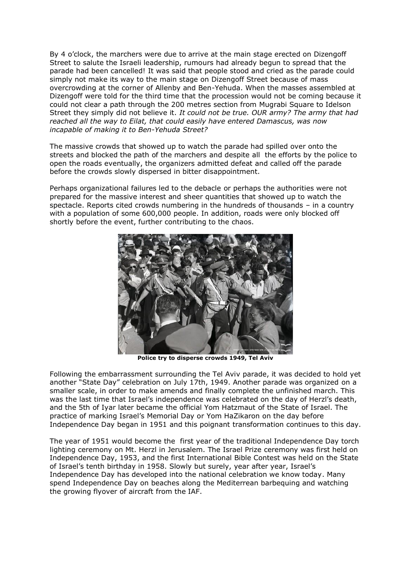By 4 o'clock, the marchers were due to arrive at the main stage erected on Dizengoff Street to salute the Israeli leadership, rumours had already begun to spread that the parade had been cancelled! It was said that people stood and cried as the parade could simply not make its way to the main stage on Dizengoff Street because of mass overcrowding at the corner of Allenby and Ben-Yehuda. When the masses assembled at Dizengoff were told for the third time that the procession would not be coming because it could not clear a path through the 200 metres section from Mugrabi Square to Idelson Street they simply did not believe it. *It could not be true. OUR army? The army that had reached all the way to Eilat, that could easily have entered Damascus, was now incapable of making it to Ben-Yehuda Street?* 

The massive crowds that showed up to watch the parade had spilled over onto the streets and blocked the path of the marchers and despite all the efforts by the police to open the roads eventually, the organizers admitted defeat and called off the parade before the crowds slowly dispersed in bitter disappointment.

Perhaps organizational failures led to the debacle or perhaps the authorities were not prepared for the massive interest and sheer quantities that showed up to watch the spectacle. Reports cited crowds numbering in the hundreds of thousands – in a country with a population of some 600,000 people. In addition, roads were only blocked off shortly before the event, further contributing to the chaos.



**Police try to disperse crowds 1949, Tel Aviv**

Following the embarrassment surrounding the Tel Aviv parade, it was decided to hold yet another "State Day" celebration on July 17th, 1949. Another parade was organized on a smaller scale, in order to make amends and finally complete the unfinished march. This was the last time that Israel's independence was celebrated on the day of Herzl's death, and the 5th of Iyar later became the official Yom Hatzmaut of the State of Israel. The practice of marking Israel's Memorial Day or Yom HaZikaron on the day before Independence Day began in 1951 and this poignant transformation continues to this day.

The year of 1951 would become the first year of the traditional Independence Day torch lighting ceremony on Mt. Herzl in Jerusalem. The Israel Prize ceremony was first held on Independence Day, 1953, and the first International Bible Contest was held on the State of Israel's tenth birthday in 1958. Slowly but surely, year after year, Israel's Independence Day has developed into the national celebration we know today. Many spend Independence Day on beaches along the Mediterrean barbequing and watching the growing flyover of aircraft from the IAF.